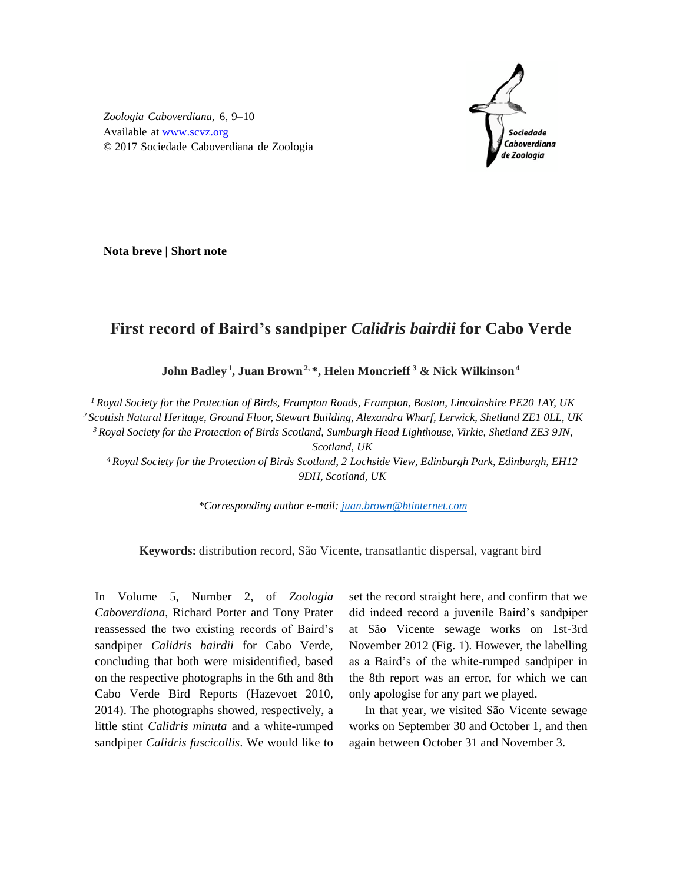

*Zoologia Caboverdiana*, 6, 9–10 Available at [www.scvz.org](http://www.scvz.org/) © 2017 Sociedade Caboverdiana de Zoologia

**Nota breve | Short note**

## **First record of Baird's sandpiper** *Calidris bairdii* **for Cabo Verde**

**John Badley<sup>1</sup> , Juan Brown2, \*, Helen Moncrieff <sup>3</sup> & Nick Wilkinson<sup>4</sup>**

*<sup>1</sup> Royal Society for the Protection of Birds, Frampton Roads, Frampton, Boston, Lincolnshire PE20 1AY, UK <sup>2</sup> Scottish Natural Heritage, Ground Floor, Stewart Building, Alexandra Wharf, Lerwick, Shetland ZE1 0LL, UK*

*<sup>3</sup> Royal Society for the Protection of Birds Scotland, Sumburgh Head Lighthouse, Virkie, Shetland ZE3 9JN,* 

*Scotland, UK*

*<sup>4</sup> Royal Society for the Protection of Birds Scotland, 2 Lochside View, Edinburgh Park, Edinburgh, EH12 9DH, Scotland, UK*

*\*Corresponding author e-mail: [juan.brown@btinternet.com](mailto:juan.brown@btinternet.com)*

**Keywords:** distribution record, São Vicente, transatlantic dispersal, vagrant bird

In Volume 5, Number 2, of *Zoologia Caboverdiana*, Richard Porter and Tony Prater reassessed the two existing records of Baird's sandpiper *Calidris bairdii* for Cabo Verde, concluding that both were misidentified, based on the respective photographs in the 6th and 8th Cabo Verde Bird Reports (Hazevoet 2010, 2014). The photographs showed, respectively, a little stint *Calidris minuta* and a white-rumped sandpiper *Calidris fuscicollis*. We would like to set the record straight here, and confirm that we did indeed record a juvenile Baird's sandpiper at São Vicente sewage works on 1st-3rd November 2012 (Fig. 1). However, the labelling as a Baird's of the white-rumped sandpiper in the 8th report was an error, for which we can only apologise for any part we played.

In that year, we visited São Vicente sewage works on September 30 and October 1, and then again between October 31 and November 3.